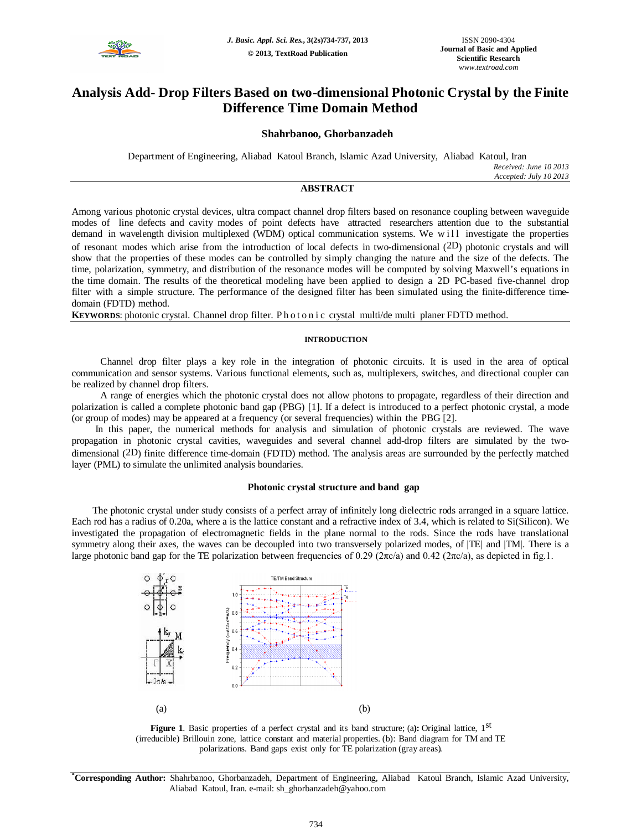

# **Analysis Add- Drop Filters Based on two-dimensional Photonic Crystal by the Finite Difference Time Domain Method**

## **Shahrbanoo, Ghorbanzadeh**

Department of Engineering, Aliabad Katoul Branch, Islamic Azad University, Aliabad Katoul, Iran *Received: June 10 2013 Accepted: July 10 2013*

## **ABSTRACT**

Among various photonic crystal devices, ultra compact channel drop filters based on resonance coupling between waveguide modes of line defects and cavity modes of point defects have attracted researchers attention due to the substantial demand in wavelength division multiplexed (WDM) optical communication systems. We will investigate the properties of resonant modes which arise from the introduction of local defects in two-dimensional (2D) photonic crystals and will show that the properties of these modes can be controlled by simply changing the nature and the size of the defects. The time, polarization, symmetry, and distribution of the resonance modes will be computed by solving Maxwell's equations in the time domain. The results of the theoretical modeling have been applied to design a 2D PC-based five-channel drop filter with a simple structure. The performance of the designed filter has been simulated using the finite-difference timedomain (FDTD) method.

**KEYWORDS:** photonic crystal. Channel drop filter. Photon i c crystal multi/de multi planer FDTD method.

#### **INTRODUCTION**

 Channel drop filter plays a key role in the integration of photonic circuits. It is used in the area of optical communication and sensor systems. Various functional elements, such as, multiplexers, switches, and directional coupler can be realized by channel drop filters.

 A range of energies which the photonic crystal does not allow photons to propagate, regardless of their direction and polarization is called a complete photonic band gap (PBG) [1]. If a defect is introduced to a perfect photonic crystal, a mode (or group of modes) may be appeared at a frequency (or several frequencies) within the PBG [2].

In this paper, the numerical methods for analysis and simulation of photonic crystals are reviewed. The wave propagation in photonic crystal cavities, waveguides and several channel add-drop filters are simulated by the twodimensional (2D) finite difference time-domain (FDTD) method. The analysis areas are surrounded by the perfectly matched layer (PML) to simulate the unlimited analysis boundaries.

## **Photonic crystal structure and band gap**

The photonic crystal under study consists of a perfect array of infinitely long dielectric rods arranged in a square lattice. Each rod has a radius of 0.20a, where a is the lattice constant and a refractive index of 3.4, which is related to Si(Silicon). We investigated the propagation of electromagnetic fields in the plane normal to the rods. Since the rods have translational symmetry along their axes, the waves can be decoupled into two transversely polarized modes, of  $|TE|$  and  $|TM|$ . There is a large photonic band gap for the TE polarization between frequencies of 0.29 (2πc/a) and 0.42 (2πc/a), as depicted in fig.1.



Figure 1. Basic properties of a perfect crystal and its band structure; (a): Original lattice, 1<sup>st</sup> (irreducible) Brillouin zone, lattice constant and material properties. (b): Band diagram for TM and TE polarizations. Band gaps exist only for TE polarization (gray areas)*.*

**\*Corresponding Author:** Shahrbanoo, Ghorbanzadeh, Department of Engineering, Aliabad Katoul Branch, Islamic Azad University, Aliabad Katoul, Iran. e-mail: sh\_ghorbanzadeh@yahoo.com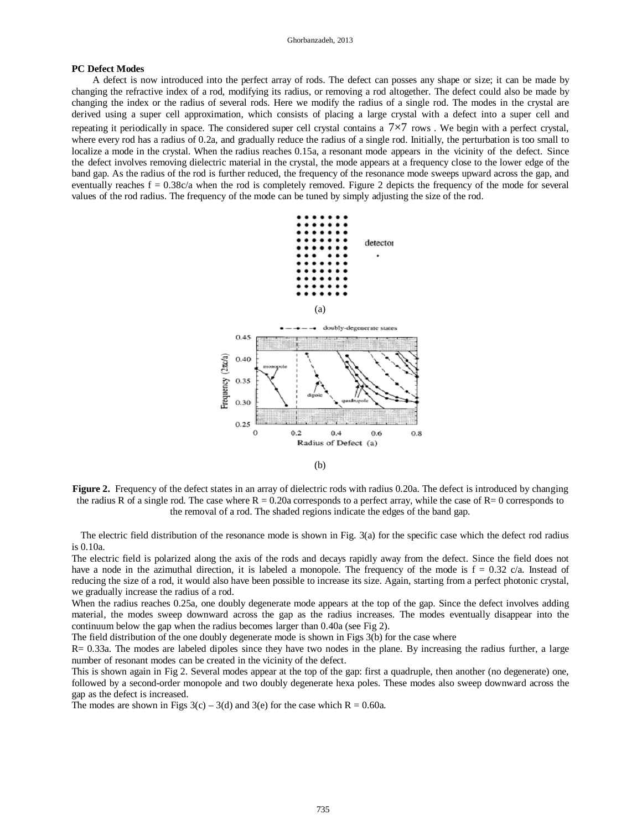#### **PC Defect Modes**

A defect is now introduced into the perfect array of rods. The defect can posses any shape or size; it can be made by changing the refractive index of a rod, modifying its radius, or removing a rod altogether. The defect could also be made by changing the index or the radius of several rods. Here we modify the radius of a single rod. The modes in the crystal are derived using a super cell approximation, which consists of placing a large crystal with a defect into a super cell and repeating it periodically in space. The considered super cell crystal contains a  $7\times7$  rows. We begin with a perfect crystal, where every rod has a radius of 0.2a, and gradually reduce the radius of a single rod. Initially, the perturbation is too small to localize a mode in the crystal. When the radius reaches 0.15a, a resonant mode appears in the vicinity of the defect. Since the defect involves removing dielectric material in the crystal, the mode appears at a frequency close to the lower edge of the band gap. As the radius of the rod is further reduced, the frequency of the resonance mode sweeps upward across the gap, and eventually reaches  $f = 0.38c/a$  when the rod is completely removed. Figure 2 depicts the frequency of the mode for several values of the rod radius. The frequency of the mode can be tuned by simply adjusting the size of the rod.



**Figure 2.** Frequency of the defect states in an array of dielectric rods with radius 0.20a. The defect is introduced by changing the radius R of a single rod. The case where  $R = 0.20a$  corresponds to a perfect array, while the case of  $R = 0$  corresponds to the removal of a rod. The shaded regions indicate the edges of the band gap.

The electric field distribution of the resonance mode is shown in Fig. 3(a) for the specific case which the defect rod radius is 0.10a.

The electric field is polarized along the axis of the rods and decays rapidly away from the defect. Since the field does not have a node in the azimuthal direction, it is labeled a monopole. The frequency of the mode is  $f = 0.32$  c/a. Instead of reducing the size of a rod, it would also have been possible to increase its size. Again, starting from a perfect photonic crystal, we gradually increase the radius of a rod.

When the radius reaches 0.25a, one doubly degenerate mode appears at the top of the gap. Since the defect involves adding material, the modes sweep downward across the gap as the radius increases. The modes eventually disappear into the continuum below the gap when the radius becomes larger than 0.40a (see Fig 2).

The field distribution of the one doubly degenerate mode is shown in Figs 3(b) for the case where

R= 0.33a. The modes are labeled dipoles since they have two nodes in the plane. By increasing the radius further, a large number of resonant modes can be created in the vicinity of the defect.

This is shown again in Fig 2. Several modes appear at the top of the gap: first a quadruple, then another (no degenerate) one, followed by a second-order monopole and two doubly degenerate hexa poles. These modes also sweep downward across the gap as the defect is increased.

The modes are shown in Figs  $3(c) - 3(d)$  and  $3(e)$  for the case which  $R = 0.60a$ .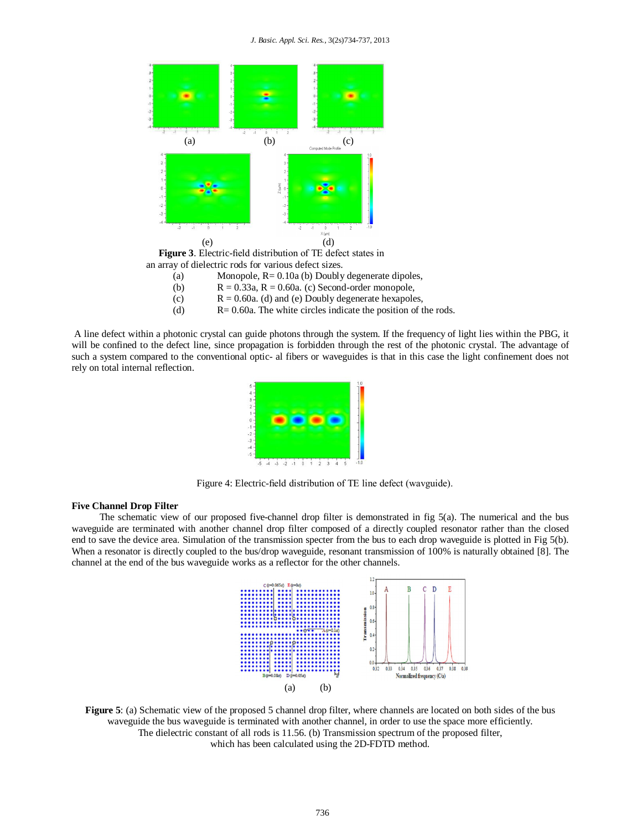

(a) Monopole, R= 0.10a (b) Doubly degenerate dipoles,

- (b)  $R = 0.33a$ ,  $R = 0.60a$ . (c) Second-order monopole,
- (c)  $R = 0.60a$ . (d) and (e) Doubly degenerate hexapoles,
- (d) R= 0.60a. The white circles indicate the position of the rods.

A line defect within a photonic crystal can guide photons through the system. If the frequency of light lies within the PBG, it will be confined to the defect line, since propagation is forbidden through the rest of the photonic crystal. The advantage of such a system compared to the conventional optic- al fibers or waveguides is that in this case the light confinement does not rely on total internal reflection.



Figure 4: Electric-field distribution of TE line defect (wavguide).

## **Five Channel Drop Filter**

The schematic view of our proposed five-channel drop filter is demonstrated in fig  $5(a)$ . The numerical and the bus waveguide are terminated with another channel drop filter composed of a directly coupled resonator rather than the closed end to save the device area. Simulation of the transmission specter from the bus to each drop waveguide is plotted in Fig 5(b). When a resonator is directly coupled to the bus/drop waveguide, resonant transmission of 100% is naturally obtained [8]. The channel at the end of the bus waveguide works as a reflector for the other channels.



**Figure 5**: (a) Schematic view of the proposed 5 channel drop filter, where channels are located on both sides of the bus waveguide the bus waveguide is terminated with another channel, in order to use the space more efficiently. The dielectric constant of all rods is 11.56. (b) Transmission spectrum of the proposed filter, which has been calculated using the 2D-FDTD method.